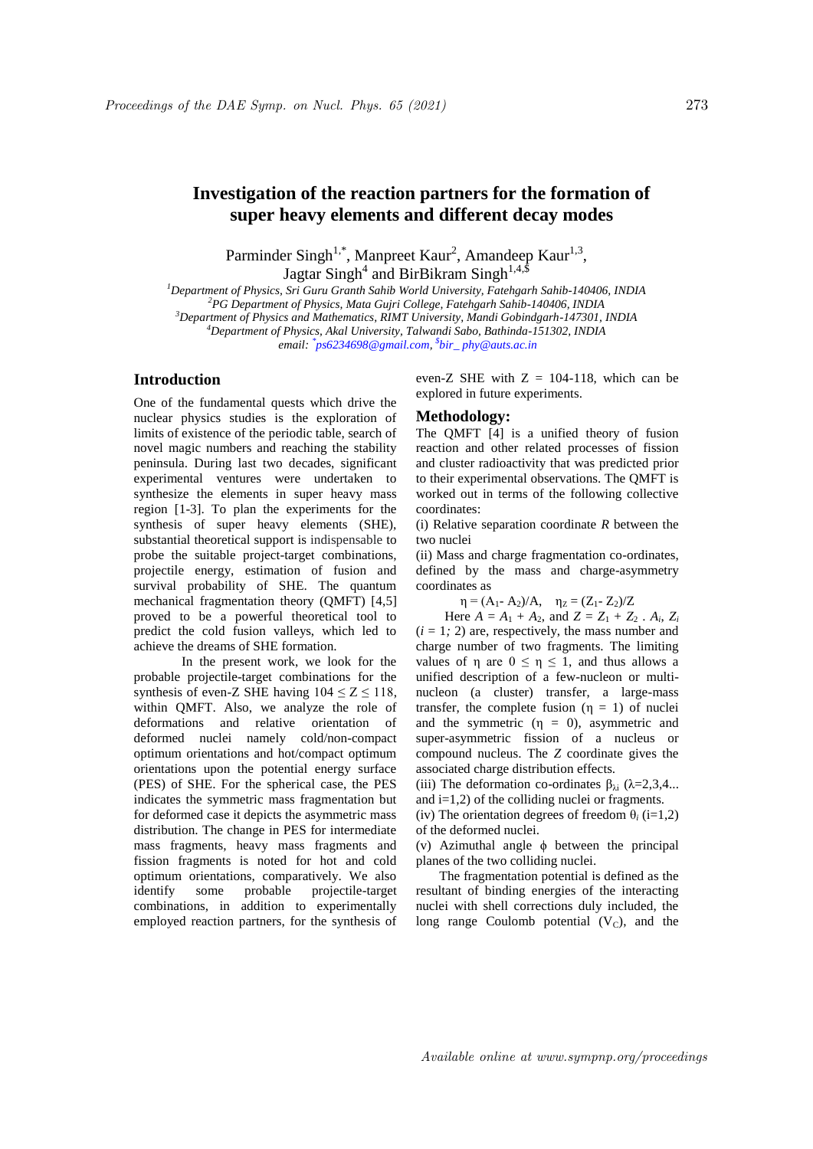# **Investigation of the reaction partners for the formation of super heavy elements and different decay modes**

Parminder Singh<sup>1,\*</sup>, Manpreet Kaur<sup>2</sup>, Amandeep Kaur<sup>1,3</sup>, Jagtar Singh<sup>4</sup> and BirBikram Singh<sup>1,4,\$</sup>

*Department of Physics, Sri Guru Granth Sahib World University, Fatehgarh Sahib-140406, INDIA PG Department of Physics, Mata Gujri College, Fatehgarh Sahib-140406, INDIA Department of Physics and Mathematics, RIMT University, Mandi Gobindgarh-147301, INDIA Department of Physics, Akal University, Talwandi Sabo, Bathinda-151302, INDIA email: \* ps6234698@gmail.com, \$ bir\_ phy@auts.ac.in*

## **Introduction**

One of the fundamental quests which drive the nuclear physics studies is the exploration of limits of existence of the periodic table, search of novel magic numbers and reaching the stability peninsula. During last two decades, significant experimental ventures were undertaken to synthesize the elements in super heavy mass region [1-3]. To plan the experiments for the synthesis of super heavy elements (SHE), substantial theoretical support is indispensable to probe the suitable project-target combinations, projectile energy, estimation of fusion and survival probability of SHE. The quantum mechanical fragmentation theory (QMFT) [4,5] proved to be a powerful theoretical tool to predict the cold fusion valleys, which led to achieve the dreams of SHE formation.

In the present work, we look for the probable projectile-target combinations for the synthesis of even-Z SHE having  $104 \le Z \le 118$ , within QMFT. Also, we analyze the role of deformations and relative orientation of deformed nuclei namely cold/non-compact optimum orientations and hot/compact optimum orientations upon the potential energy surface (PES) of SHE. For the spherical case, the PES indicates the symmetric mass fragmentation but for deformed case it depicts the asymmetric mass distribution. The change in PES for intermediate mass fragments, heavy mass fragments and fission fragments is noted for hot and cold optimum orientations, comparatively. We also identify some probable projectile-target combinations, in addition to experimentally employed reaction partners, for the synthesis of even-Z SHE with  $Z = 104-118$ , which can be explored in future experiments.

#### **Methodology:**

The QMFT [4] is a unified theory of fusion reaction and other related processes of fission and cluster radioactivity that was predicted prior to their experimental observations. The QMFT is worked out in terms of the following collective coordinates:

(i) Relative separation coordinate *R* between the two nuclei

(ii) Mass and charge fragmentation co-ordinates, defined by the mass and charge-asymmetry coordinates as

 $\eta = (A_1 - A_2)/A$ ,  $\eta_Z = (Z_1 - Z_2)/Z$ 

Here  $A = A_1 + A_2$ , and  $Z = Z_1 + Z_2$ .  $A_i$ ,  $Z_i$  $(i = 1, 2)$  are, respectively, the mass number and charge number of two fragments. The limiting values of  $\eta$  are  $0 \leq \eta \leq 1$ , and thus allows a unified description of a few-nucleon or multinucleon (a cluster) transfer, a large-mass transfer, the complete fusion  $(\eta = 1)$  of nuclei and the symmetric  $(\eta = 0)$ , asymmetric and super-asymmetric fission of a nucleus or compound nucleus. The *Z* coordinate gives the associated charge distribution effects.

(iii) The deformation co-ordinates  $\beta_{\lambda i}$  ( $\lambda$ =2,3,4... and  $i=1,2$ ) of the colliding nuclei or fragments.

(iv) The orientation degrees of freedom  $\theta_i$  (i=1,2) of the deformed nuclei.

(v) Azimuthal angle  $\phi$  between the principal planes of the two colliding nuclei.

 The fragmentation potential is defined as the resultant of binding energies of the interacting nuclei with shell corrections duly included, the long range Coulomb potential  $(V<sub>C</sub>)$ , and the